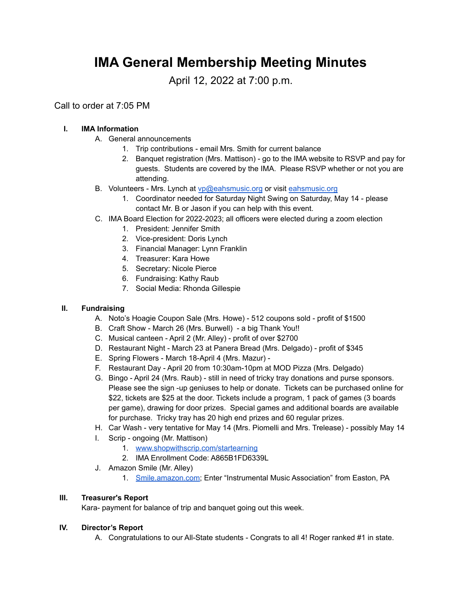# **IMA General Membership Meeting Minutes**

April 12, 2022 at 7:00 p.m.

Call to order at 7:05 PM

## **I. IMA Information**

- A. General announcements
	- 1. Trip contributions email Mrs. Smith for current balance
	- 2. Banquet registration (Mrs. Mattison) go to the IMA website to RSVP and pay for guests. Students are covered by the IMA. Please RSVP whether or not you are attending.
- B. Volunteers Mrs. Lynch at [vp@eahsmusic.org](mailto:vp@eahsmusic.org) or visit [eahsmusic.org](https://eahsmusic.org)
	- 1. Coordinator needed for Saturday Night Swing on Saturday, May 14 please contact Mr. B or Jason if you can help with this event.
- C. IMA Board Election for 2022-2023; all officers were elected during a zoom election
	- 1. President: Jennifer Smith
	- 2. Vice-president: Doris Lynch
	- 3. Financial Manager: Lynn Franklin
	- 4. Treasurer: Kara Howe
	- 5. Secretary: Nicole Pierce
	- 6. Fundraising: Kathy Raub
	- 7. Social Media: Rhonda Gillespie

#### **II. Fundraising**

- A. Noto's Hoagie Coupon Sale (Mrs. Howe) 512 coupons sold profit of \$1500
- B. Craft Show March 26 (Mrs. Burwell) a big Thank You!!
- C. Musical canteen April 2 (Mr. Alley) profit of over \$2700
- D. Restaurant Night March 23 at Panera Bread (Mrs. Delgado) profit of \$345
- E. Spring Flowers March 18-April 4 (Mrs. Mazur) -
- F. Restaurant Day April 20 from 10:30am-10pm at MOD Pizza (Mrs. Delgado)
- G. Bingo April 24 (Mrs. Raub) still in need of tricky tray donations and purse sponsors. Please see the sign -up geniuses to help or donate. Tickets can be purchased online for \$22, tickets are \$25 at the door. Tickets include a program, 1 pack of games (3 boards per game), drawing for door prizes. Special games and additional boards are available for purchase. Tricky tray has 20 high end prizes and 60 regular prizes.
- H. Car Wash very tentative for May 14 (Mrs. Piomelli and Mrs. Trelease) possibly May 14
- I. Scrip ongoing (Mr. Mattison)
	- 1. [www.shopwithscrip.com/startearning](https://www.shopwithscrip.com/startearning)
	- 2. IMA Enrollment Code: A865B1FD6339L
- J. Amazon Smile (Mr. Alley)
	- 1. [Smile.amazon.com;](https://smile.amazon.com/) Enter "Instrumental Music Association" from Easton, PA

## **III. Treasurer's Report**

Kara- payment for balance of trip and banquet going out this week.

#### **IV. Director's Report**

A. Congratulations to our All-State students - Congrats to all 4! Roger ranked #1 in state.